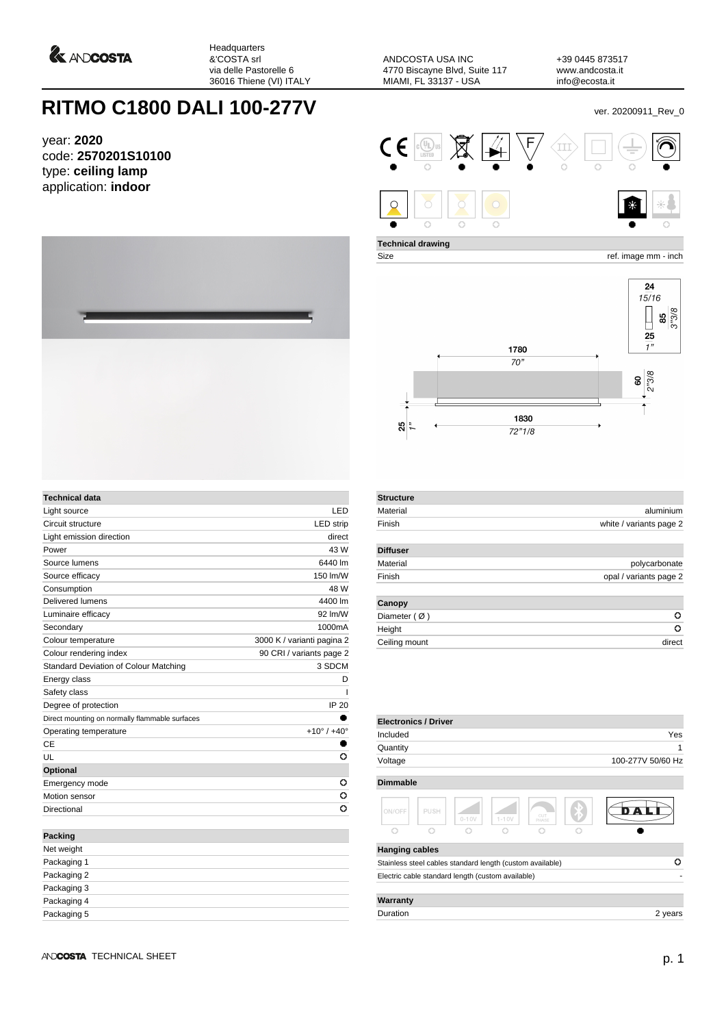

Headquarters &'COSTA srl via delle Pastorelle 6 36016 Thiene (VI) ITALY

ANDCOSTA USA INC 4770 Biscayne Blvd, Suite 117 MIAMI, FL 33137 - USA

+39 0445 873517 www.andcosta.it info@ecosta.it

## **RITMO C1800 DALI 100-277V** ver. 20200911\_Rev\_0

year: **2020** code: **2570201S10100** type: **ceiling lamp** application: **indoor**



| Technical data                                 |                               |
|------------------------------------------------|-------------------------------|
| Light source                                   | LED                           |
| Circuit structure                              | <b>LED</b> strip              |
| Light emission direction                       | direct                        |
| Power                                          | 43 W                          |
| Source lumens                                  | 6440 lm                       |
| Source efficacy                                | 150 lm/W                      |
| Consumption                                    | 48 W                          |
| Delivered lumens                               | 4400 lm                       |
| Luminaire efficacy                             | 92 Im/W                       |
| Secondary                                      | 1000mA                        |
| Colour temperature                             | 3000 K / varianti pagina 2    |
| Colour rendering index                         | 90 CRI / variants page 2      |
| Standard Deviation of Colour Matching          | 3 SDCM                        |
| Energy class                                   | D                             |
| Safety class                                   |                               |
| Degree of protection                           | IP 20                         |
| Direct mounting on normally flammable surfaces |                               |
| Operating temperature                          | $+10^{\circ}$ / $+40^{\circ}$ |
| CE                                             |                               |
| UL                                             | Ō                             |
| Optional                                       |                               |
| Emergency mode                                 | o                             |
| Motion sensor                                  | o                             |
| Directional                                    | o                             |
| <b>Packing</b>                                 |                               |
| Net weight                                     |                               |
| Packaging 1                                    |                               |
| Packaging 2                                    |                               |



**Technical drawing**

Size ref. image mm - inch



| <b>Structure</b> |                         |
|------------------|-------------------------|
| Material         | aluminium               |
| Finish           | white / variants page 2 |
| <b>Diffuser</b>  |                         |
| Material         | polycarbonate           |
| Finish           | opal / variants page 2  |
| Canopy           |                         |
| Diameter $(Ø)$   | o                       |
| Height           | o                       |
| Ceiling mount    | direct                  |

| <b>Electronics / Driver</b>                       |      |           |           |                                                           |                   |
|---------------------------------------------------|------|-----------|-----------|-----------------------------------------------------------|-------------------|
| Included                                          |      |           |           |                                                           | Yes               |
| Quantity                                          |      |           |           |                                                           | 1                 |
| Voltage                                           |      |           |           |                                                           | 100-277V 50/60 Hz |
|                                                   |      |           |           |                                                           |                   |
| <b>Dimmable</b>                                   |      |           |           |                                                           |                   |
| ON/OFF                                            | PUSH | $0 - 10V$ | $1 - 10V$ | CUT<br>PHASE                                              |                   |
|                                                   | ∩    |           |           |                                                           |                   |
| <b>Hanging cables</b>                             |      |           |           |                                                           |                   |
|                                                   |      |           |           | Stainless steel cables standard length (custom available) | Ο                 |
| Electric cable standard length (custom available) |      |           |           |                                                           |                   |
| Warranty                                          |      |           |           |                                                           |                   |
| Duration                                          |      |           |           |                                                           | 2 years           |

Packaging 3 Packaging 4 Packaging 5